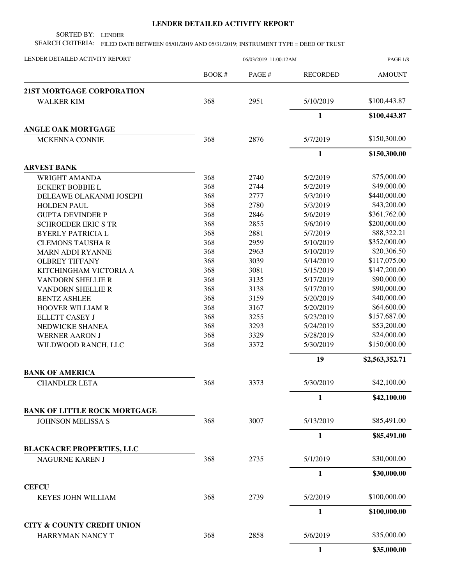## **LENDER DETAILED ACTIVITY REPORT**

SORTED BY: LENDER

SEARCH CRITERIA: FILED DATE BETWEEN 05/01/2019 AND 05/31/2019; INSTRUMENT TYPE = DEED OF TRUST

| LENDER DETAILED ACTIVITY REPORT       |              | 06/03/2019 11:00:12AM |                 | <b>PAGE 1/8</b> |  |
|---------------------------------------|--------------|-----------------------|-----------------|-----------------|--|
|                                       | <b>BOOK#</b> | PAGE#                 | <b>RECORDED</b> | <b>AMOUNT</b>   |  |
| 21ST MORTGAGE CORPORATION             |              |                       |                 |                 |  |
| <b>WALKER KIM</b>                     | 368          | 2951                  | 5/10/2019       | \$100,443.87    |  |
|                                       |              |                       | $\mathbf{1}$    | \$100,443.87    |  |
| <b>ANGLE OAK MORTGAGE</b>             |              |                       |                 |                 |  |
| <b>MCKENNA CONNIE</b>                 | 368          | 2876                  | 5/7/2019        | \$150,300.00    |  |
|                                       |              |                       | 1               | \$150,300.00    |  |
| <b>ARVEST BANK</b>                    |              |                       |                 |                 |  |
| <b>WRIGHT AMANDA</b>                  | 368          | 2740                  | 5/2/2019        | \$75,000.00     |  |
| <b>ECKERT BOBBIE L</b>                | 368          | 2744                  | 5/2/2019        | \$49,000.00     |  |
| DELEAWE OLAKANMI JOSEPH               | 368          | 2777                  | 5/3/2019        | \$440,000.00    |  |
| <b>HOLDEN PAUL</b>                    | 368          | 2780                  | 5/3/2019        | \$43,200.00     |  |
| <b>GUPTA DEVINDER P</b>               | 368          | 2846                  | 5/6/2019        | \$361,762.00    |  |
| <b>SCHROEDER ERIC S TR</b>            | 368          | 2855                  | 5/6/2019        | \$200,000.00    |  |
| <b>BYERLY PATRICIA L</b>              | 368          | 2881                  | 5/7/2019        | \$88,322.21     |  |
| <b>CLEMONS TAUSHAR</b>                | 368          | 2959                  | 5/10/2019       | \$352,000.00    |  |
| <b>MARN ADDI RYANNE</b>               | 368          | 2963                  | 5/10/2019       | \$20,306.50     |  |
| <b>OLBREY TIFFANY</b>                 | 368          | 3039                  | 5/14/2019       | \$117,075.00    |  |
| KITCHINGHAM VICTORIA A                | 368          | 3081                  | 5/15/2019       | \$147,200.00    |  |
| <b>VANDORN SHELLIE R</b>              | 368          | 3135                  | 5/17/2019       | \$90,000.00     |  |
| <b>VANDORN SHELLIE R</b>              | 368          | 3138                  | 5/17/2019       | \$90,000.00     |  |
| <b>BENTZ ASHLEE</b>                   | 368          | 3159                  | 5/20/2019       | \$40,000.00     |  |
| HOOVER WILLIAM R                      | 368          | 3167                  | 5/20/2019       | \$64,600.00     |  |
| <b>ELLETT CASEY J</b>                 | 368          | 3255                  | 5/23/2019       | \$157,687.00    |  |
| NEDWICKE SHANEA                       | 368          | 3293                  | 5/24/2019       | \$53,200.00     |  |
| <b>WERNER AARON J</b>                 | 368          | 3329                  | 5/28/2019       | \$24,000.00     |  |
| WILDWOOD RANCH, LLC                   | 368          | 3372                  | 5/30/2019       | \$150,000.00    |  |
|                                       |              |                       | 19              | \$2,563,352.71  |  |
| <b>BANK OF AMERICA</b>                |              |                       |                 |                 |  |
| <b>CHANDLER LETA</b>                  | 368          | 3373                  | 5/30/2019       | \$42,100.00     |  |
|                                       |              |                       | 1               | \$42,100.00     |  |
| <b>BANK OF LITTLE ROCK MORTGAGE</b>   |              |                       |                 |                 |  |
| <b>JOHNSON MELISSA S</b>              | 368          | 3007                  | 5/13/2019       | \$85,491.00     |  |
|                                       |              |                       | $\mathbf{1}$    | \$85,491.00     |  |
| <b>BLACKACRE PROPERTIES, LLC</b>      |              |                       |                 |                 |  |
| NAGURNE KAREN J                       | 368          | 2735                  | 5/1/2019        | \$30,000.00     |  |
|                                       |              |                       | 1               | \$30,000.00     |  |
| <b>CEFCU</b>                          |              |                       |                 |                 |  |
| <b>KEYES JOHN WILLIAM</b>             | 368          | 2739                  | 5/2/2019        | \$100,000.00    |  |
|                                       |              |                       | $\mathbf{1}$    | \$100,000.00    |  |
| <b>CITY &amp; COUNTY CREDIT UNION</b> |              |                       |                 |                 |  |
| HARRYMAN NANCY T                      | 368          | 2858                  | 5/6/2019        | \$35,000.00     |  |
|                                       |              |                       | 1               | \$35,000.00     |  |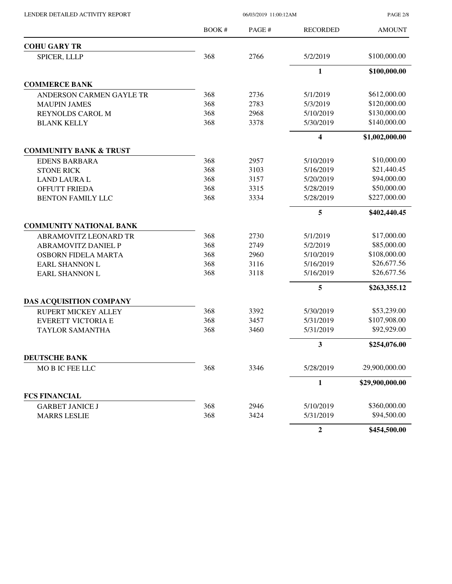LENDER DETAILED ACTIVITY REPORT 06/03/2019 11:00:12AM

PAGE 2/8

|                                   | <b>BOOK#</b> | PAGE# | <b>RECORDED</b> | <b>AMOUNT</b>   |
|-----------------------------------|--------------|-------|-----------------|-----------------|
| <b>COHU GARY TR</b>               |              |       |                 |                 |
| SPICER, LLLP                      | 368          | 2766  | 5/2/2019        | \$100,000.00    |
|                                   |              |       | $\mathbf{1}$    | \$100,000.00    |
| <b>COMMERCE BANK</b>              |              |       |                 |                 |
| ANDERSON CARMEN GAYLE TR          | 368          | 2736  | 5/1/2019        | \$612,000.00    |
| <b>MAUPIN JAMES</b>               | 368          | 2783  | 5/3/2019        | \$120,000.00    |
| <b>REYNOLDS CAROL M</b>           | 368          | 2968  | 5/10/2019       | \$130,000.00    |
| <b>BLANK KELLY</b>                | 368          | 3378  | 5/30/2019       | \$140,000.00    |
|                                   |              |       | 4               | \$1,002,000.00  |
| <b>COMMUNITY BANK &amp; TRUST</b> |              |       |                 |                 |
| <b>EDENS BARBARA</b>              | 368          | 2957  | 5/10/2019       | \$10,000.00     |
| <b>STONE RICK</b>                 | 368          | 3103  | 5/16/2019       | \$21,440.45     |
| <b>LAND LAURA L</b>               | 368          | 3157  | 5/20/2019       | \$94,000.00     |
| OFFUTT FRIEDA                     | 368          | 3315  | 5/28/2019       | \$50,000.00     |
| <b>BENTON FAMILY LLC</b>          | 368          | 3334  | 5/28/2019       | \$227,000.00    |
|                                   |              |       | 5               | \$402,440.45    |
| <b>COMMUNITY NATIONAL BANK</b>    |              |       |                 |                 |
| ABRAMOVITZ LEONARD TR             | 368          | 2730  | 5/1/2019        | \$17,000.00     |
| <b>ABRAMOVITZ DANIEL P</b>        | 368          | 2749  | 5/2/2019        | \$85,000.00     |
| OSBORN FIDELA MARTA               | 368          | 2960  | 5/10/2019       | \$108,000.00    |
| <b>EARL SHANNON L</b>             | 368          | 3116  | 5/16/2019       | \$26,677.56     |
| <b>EARL SHANNON L</b>             | 368          | 3118  | 5/16/2019       | \$26,677.56     |
|                                   |              |       | 5               | \$263,355.12    |
| DAS ACQUISITION COMPANY           |              |       |                 |                 |
| <b>RUPERT MICKEY ALLEY</b>        | 368          | 3392  | 5/30/2019       | \$53,239.00     |
| <b>EVERETT VICTORIA E</b>         | 368          | 3457  | 5/31/2019       | \$107,908.00    |
| <b>TAYLOR SAMANTHA</b>            | 368          | 3460  | 5/31/2019       | \$92,929.00     |
|                                   |              |       | 3               | \$254,076.00    |
| <b>DEUTSCHE BANK</b>              |              |       |                 |                 |
| MOBIC FEE LLC                     | 368          | 3346  | 5/28/2019       | 29,900,000.00   |
|                                   |              |       | $\mathbf{1}$    | \$29,900,000.00 |
| <b>FCS FINANCIAL</b>              |              |       |                 |                 |
| <b>GARBET JANICE J</b>            | 368          | 2946  | 5/10/2019       | \$360,000.00    |
| <b>MARRS LESLIE</b>               | 368          | 3424  | 5/31/2019       | \$94,500.00     |
|                                   |              |       | $\overline{2}$  | \$454,500.00    |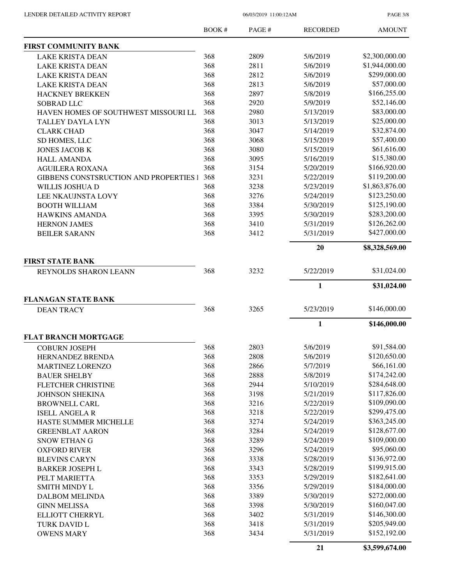PAGE 3/8

|                                                 | <b>BOOK#</b> | PAGE# | <b>RECORDED</b> | <b>AMOUNT</b>  |
|-------------------------------------------------|--------------|-------|-----------------|----------------|
| <b>FIRST COMMUNITY BANK</b>                     |              |       |                 |                |
| <b>LAKE KRISTA DEAN</b>                         | 368          | 2809  | 5/6/2019        | \$2,300,000.00 |
| <b>LAKE KRISTA DEAN</b>                         | 368          | 2811  | 5/6/2019        | \$1,944,000.00 |
| <b>LAKE KRISTA DEAN</b>                         | 368          | 2812  | 5/6/2019        | \$299,000.00   |
| <b>LAKE KRISTA DEAN</b>                         | 368          | 2813  | 5/6/2019        | \$57,000.00    |
| <b>HACKNEY BREKKEN</b>                          | 368          | 2897  | 5/8/2019        | \$166,255.00   |
| <b>SOBRAD LLC</b>                               | 368          | 2920  | 5/9/2019        | \$52,146.00    |
| HAVEN HOMES OF SOUTHWEST MISSOURI LL            | 368          | 2980  | 5/13/2019       | \$83,000.00    |
| <b>TALLEY DAYLA LYN</b>                         | 368          | 3013  | 5/13/2019       | \$25,000.00    |
| <b>CLARK CHAD</b>                               | 368          | 3047  | 5/14/2019       | \$32,874.00    |
| SD HOMES, LLC                                   | 368          | 3068  | 5/15/2019       | \$57,400.00    |
| <b>JONES JACOB K</b>                            | 368          | 3080  | 5/15/2019       | \$61,616.00    |
| <b>HALL AMANDA</b>                              | 368          | 3095  | 5/16/2019       | \$15,380.00    |
| <b>AGUILERA ROXANA</b>                          | 368          | 3154  | 5/20/2019       | \$166,920.00   |
| <b>GIBBENS CONSTSRUCTION AND PROPERTIES I</b>   | 368          | 3231  | 5/22/2019       | \$119,200.00   |
| WILLIS JOSHUA D                                 | 368          | 3238  | 5/23/2019       | \$1,863,876.00 |
| LEE NKAUJNSTA LOVY                              | 368          | 3276  | 5/24/2019       | \$123,250.00   |
| <b>BOOTH WILLIAM</b>                            | 368          | 3384  | 5/30/2019       | \$125,190.00   |
| <b>HAWKINS AMANDA</b>                           | 368          | 3395  | 5/30/2019       | \$283,200.00   |
| <b>HERNON JAMES</b>                             | 368          | 3410  | 5/31/2019       | \$126,262.00   |
| <b>BEILER SARANN</b>                            | 368          | 3412  | 5/31/2019       | \$427,000.00   |
|                                                 |              |       | 20              | \$8,328,569.00 |
| <b>FIRST STATE BANK</b>                         |              |       |                 |                |
| REYNOLDS SHARON LEANN                           | 368          | 3232  | 5/22/2019       | \$31,024.00    |
|                                                 |              |       | $\mathbf 1$     | \$31,024.00    |
| <b>FLANAGAN STATE BANK</b><br><b>DEAN TRACY</b> | 368          | 3265  | 5/23/2019       | \$146,000.00   |
|                                                 |              |       | 1               | \$146,000.00   |
| <b>FLAT BRANCH MORTGAGE</b>                     |              |       |                 |                |
| <b>COBURN JOSEPH</b>                            | 368          | 2803  | 5/6/2019        | \$91,584.00    |
| HERNANDEZ BRENDA                                | 368          | 2808  | 5/6/2019        | \$120,650.00   |
| <b>MARTINEZ LORENZO</b>                         | 368          | 2866  | 5/7/2019        | \$66,161.00    |
| <b>BAUER SHELBY</b>                             | 368          | 2888  | 5/8/2019        | \$174,242.00   |
| FLETCHER CHRISTINE                              | 368          | 2944  | 5/10/2019       | \$284,648.00   |
| <b>JOHNSON SHEKINA</b>                          | 368          | 3198  | 5/21/2019       | \$117,826.00   |
| <b>BROWNELL CARL</b>                            | 368          | 3216  | 5/22/2019       | \$109,090.00   |
| <b>ISELL ANGELAR</b>                            | 368          | 3218  | 5/22/2019       | \$299,475.00   |
| HASTE SUMMER MICHELLE                           | 368          | 3274  | 5/24/2019       | \$363,245.00   |
| <b>GREENBLAT AARON</b>                          | 368          | 3284  | 5/24/2019       | \$128,677.00   |
| <b>SNOW ETHAN G</b>                             | 368          | 3289  | 5/24/2019       | \$109,000.00   |
| <b>OXFORD RIVER</b>                             | 368          | 3296  | 5/24/2019       | \$95,060.00    |
| <b>BLEVINS CARYN</b>                            | 368          | 3338  | 5/28/2019       | \$136,972.00   |
| <b>BARKER JOSEPH L</b>                          | 368          | 3343  | 5/28/2019       | \$199,915.00   |
| PELT MARIETTA                                   | 368          | 3353  | 5/29/2019       | \$182,641.00   |
| SMITH MINDY L                                   | 368          | 3356  | 5/29/2019       | \$184,000.00   |
| <b>DALBOM MELINDA</b>                           | 368          | 3389  | 5/30/2019       | \$272,000.00   |
| <b>GINN MELISSA</b>                             | 368          | 3398  | 5/30/2019       | \$160,047.00   |
| ELLIOTT CHERRYL                                 | 368          | 3402  | 5/31/2019       | \$146,300.00   |
| <b>TURK DAVID L</b>                             | 368          | 3418  | 5/31/2019       | \$205,949.00   |
| <b>OWENS MARY</b>                               | 368          | 3434  | 5/31/2019       | \$152,192.00   |
|                                                 |              |       | 21              | \$3,599,674.00 |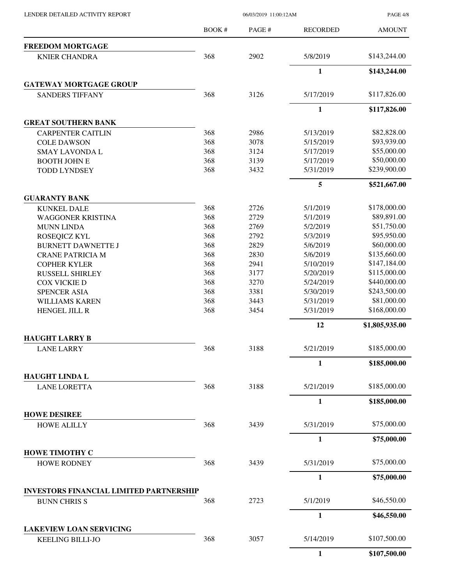LENDER DETAILED ACTIVITY REPORT 06/03/2019 11:00:12AM

PAGE 4/8

|                                                | <b>BOOK#</b> | PAGE# | <b>RECORDED</b> | <b>AMOUNT</b>  |
|------------------------------------------------|--------------|-------|-----------------|----------------|
| <b>FREEDOM MORTGAGE</b>                        |              |       |                 |                |
| <b>KNIER CHANDRA</b>                           | 368          | 2902  | 5/8/2019        | \$143,244.00   |
|                                                |              |       | $\mathbf{1}$    | \$143,244.00   |
| <b>GATEWAY MORTGAGE GROUP</b>                  |              |       |                 |                |
| <b>SANDERS TIFFANY</b>                         | 368          | 3126  | 5/17/2019       | \$117,826.00   |
|                                                |              |       | $\mathbf{1}$    | \$117,826.00   |
| <b>GREAT SOUTHERN BANK</b>                     |              |       |                 |                |
| <b>CARPENTER CAITLIN</b>                       | 368          | 2986  | 5/13/2019       | \$82,828.00    |
| <b>COLE DAWSON</b>                             | 368          | 3078  | 5/15/2019       | \$93,939.00    |
| <b>SMAY LAVONDA L</b>                          | 368          | 3124  | 5/17/2019       | \$55,000.00    |
| <b>BOOTH JOHN E</b>                            | 368          | 3139  | 5/17/2019       | \$50,000.00    |
| <b>TODD LYNDSEY</b>                            | 368          | 3432  | 5/31/2019       | \$239,900.00   |
|                                                |              |       | 5               | \$521,667.00   |
| <b>GUARANTY BANK</b>                           |              |       |                 |                |
| <b>KUNKEL DALE</b>                             | 368          | 2726  | 5/1/2019        | \$178,000.00   |
| <b>WAGGONER KRISTINA</b>                       | 368          | 2729  | 5/1/2019        | \$89,891.00    |
| <b>MUNN LINDA</b>                              | 368          | 2769  | 5/2/2019        | \$51,750.00    |
| ROSEQICZ KYL                                   | 368          | 2792  | 5/3/2019        | \$95,950.00    |
| <b>BURNETT DAWNETTE J</b>                      | 368          | 2829  | 5/6/2019        | \$60,000.00    |
| <b>CRANE PATRICIA M</b>                        | 368          | 2830  | 5/6/2019        | \$135,660.00   |
| <b>COPHER KYLER</b>                            | 368          | 2941  | 5/10/2019       | \$147,184.00   |
| <b>RUSSELL SHIRLEY</b>                         | 368          | 3177  | 5/20/2019       | \$115,000.00   |
| <b>COX VICKIE D</b>                            | 368          | 3270  | 5/24/2019       | \$440,000.00   |
| <b>SPENCER ASIA</b>                            | 368          | 3381  | 5/30/2019       | \$243,500.00   |
| <b>WILLIAMS KAREN</b>                          | 368          | 3443  | 5/31/2019       | \$81,000.00    |
| HENGEL JILL R                                  | 368          | 3454  | 5/31/2019       | \$168,000.00   |
|                                                |              |       | 12              | \$1,805,935.00 |
| <b>HAUGHT LARRY B</b>                          |              |       |                 |                |
| <b>LANE LARRY</b>                              | 368          | 3188  | 5/21/2019       | \$185,000.00   |
|                                                |              |       | $\mathbf{1}$    | \$185,000.00   |
| <b>HAUGHT LINDA L</b>                          | 368          | 3188  | 5/21/2019       | \$185,000.00   |
| <b>LANE LORETTA</b>                            |              |       | $\mathbf{1}$    | \$185,000.00   |
| <b>HOWE DESIREE</b>                            |              |       |                 |                |
| <b>HOWE ALILLY</b>                             | 368          | 3439  | 5/31/2019       | \$75,000.00    |
|                                                |              |       | $\mathbf{1}$    | \$75,000.00    |
| <b>HOWE TIMOTHY C</b>                          |              |       |                 |                |
| <b>HOWE RODNEY</b>                             | 368          | 3439  | 5/31/2019       | \$75,000.00    |
|                                                |              |       | 1               | \$75,000.00    |
| <b>INVESTORS FINANCIAL LIMITED PARTNERSHIP</b> |              |       |                 |                |
| <b>BUNN CHRIS S</b>                            | 368          | 2723  | 5/1/2019        | \$46,550.00    |
|                                                |              |       | $\mathbf{1}$    | \$46,550.00    |
| <b>LAKEVIEW LOAN SERVICING</b>                 |              |       |                 |                |
| <b>KEELING BILLI-JO</b>                        | 368          | 3057  | 5/14/2019       | \$107,500.00   |
|                                                |              |       | $\mathbf{1}$    | \$107,500.00   |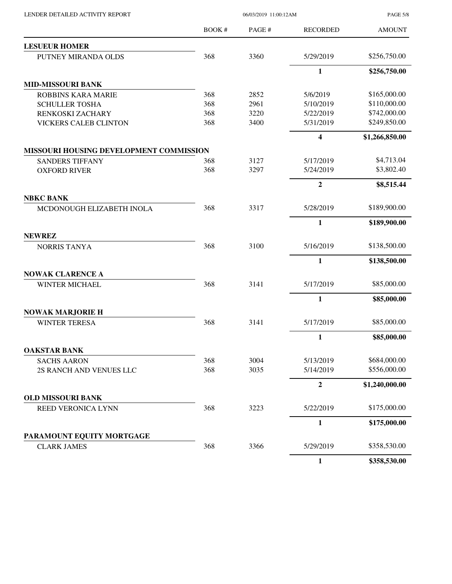LENDER DETAILED ACTIVITY REPORT 06/03/2019 11:00:12AM

PAGE 5/8

|                                                | BOOK# | PAGE# | <b>RECORDED</b>         | <b>AMOUNT</b>  |
|------------------------------------------------|-------|-------|-------------------------|----------------|
| <b>LESUEUR HOMER</b>                           |       |       |                         |                |
| PUTNEY MIRANDA OLDS                            | 368   | 3360  | 5/29/2019               | \$256,750.00   |
|                                                |       |       | 1                       | \$256,750.00   |
| <b>MID-MISSOURI BANK</b>                       |       |       |                         |                |
| <b>ROBBINS KARA MARIE</b>                      | 368   | 2852  | 5/6/2019                | \$165,000.00   |
| <b>SCHULLER TOSHA</b>                          | 368   | 2961  | 5/10/2019               | \$110,000.00   |
| RENKOSKI ZACHARY                               | 368   | 3220  | 5/22/2019               | \$742,000.00   |
| <b>VICKERS CALEB CLINTON</b>                   | 368   | 3400  | 5/31/2019               | \$249,850.00   |
|                                                |       |       | $\overline{\mathbf{4}}$ | \$1,266,850.00 |
| <b>MISSOURI HOUSING DEVELOPMENT COMMISSION</b> |       |       |                         |                |
| <b>SANDERS TIFFANY</b>                         | 368   | 3127  | 5/17/2019               | \$4,713.04     |
| <b>OXFORD RIVER</b>                            | 368   | 3297  | 5/24/2019               | \$3,802.40     |
|                                                |       |       | $\overline{2}$          | \$8,515.44     |
| <b>NBKC BANK</b>                               |       |       |                         |                |
| MCDONOUGH ELIZABETH INOLA                      | 368   | 3317  | 5/28/2019               | \$189,900.00   |
|                                                |       |       | $\mathbf{1}$            | \$189,900.00   |
| <b>NEWREZ</b>                                  |       |       |                         | \$138,500.00   |
| <b>NORRIS TANYA</b>                            | 368   | 3100  | 5/16/2019               |                |
|                                                |       |       | $\mathbf{1}$            | \$138,500.00   |
| <b>NOWAK CLARENCE A</b>                        |       |       |                         |                |
| <b>WINTER MICHAEL</b>                          | 368   | 3141  | 5/17/2019               | \$85,000.00    |
|                                                |       |       | $\mathbf{1}$            | \$85,000.00    |
| <b>NOWAK MARJORIE H</b>                        |       |       |                         |                |
| <b>WINTER TERESA</b>                           | 368   | 3141  | 5/17/2019               | \$85,000.00    |
|                                                |       |       | $\mathbf{1}$            | \$85,000.00    |
| <b>OAKSTAR BANK</b>                            |       |       |                         |                |
| <b>SACHS AARON</b>                             | 368   | 3004  | 5/13/2019               | \$684,000.00   |
| 2S RANCH AND VENUES LLC                        | 368   | 3035  | 5/14/2019               | \$556,000.00   |
|                                                |       |       | $\mathbf{2}$            | \$1,240,000.00 |
| OLD MISSOURI BANK                              |       |       |                         |                |
| REED VERONICA LYNN                             | 368   | 3223  | 5/22/2019               | \$175,000.00   |
|                                                |       |       | $\mathbf{1}$            | \$175,000.00   |
| PARAMOUNT EQUITY MORTGAGE                      |       |       |                         |                |
| <b>CLARK JAMES</b>                             | 368   | 3366  | 5/29/2019               | \$358,530.00   |
|                                                |       |       | $\mathbf{1}$            | \$358,530.00   |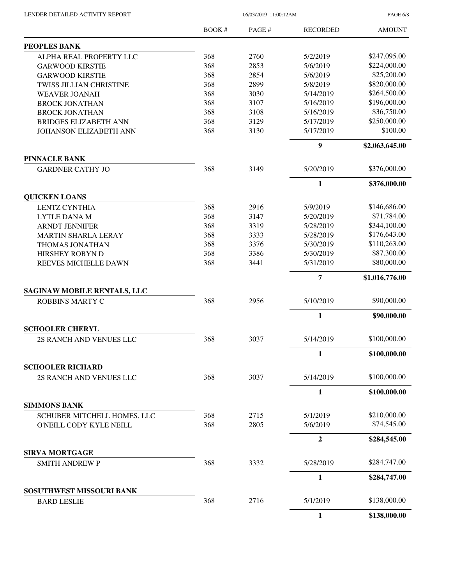| LENDER DETAILED ACTIVITY REPORT |  |
|---------------------------------|--|
|                                 |  |

06/03/2019 11:00:12AM

PAGE 6/8

|                                                    | BOOK# | PAGE# | <b>RECORDED</b> | <b>AMOUNT</b>  |
|----------------------------------------------------|-------|-------|-----------------|----------------|
| <b>PEOPLES BANK</b>                                |       |       |                 |                |
| ALPHA REAL PROPERTY LLC                            | 368   | 2760  | 5/2/2019        | \$247,095.00   |
| <b>GARWOOD KIRSTIE</b>                             | 368   | 2853  | 5/6/2019        | \$224,000.00   |
| <b>GARWOOD KIRSTIE</b>                             | 368   | 2854  | 5/6/2019        | \$25,200.00    |
| TWISS JILLIAN CHRISTINE                            | 368   | 2899  | 5/8/2019        | \$820,000.00   |
| <b>WEAVER JOANAH</b>                               | 368   | 3030  | 5/14/2019       | \$264,500.00   |
| <b>BROCK JONATHAN</b>                              | 368   | 3107  | 5/16/2019       | \$196,000.00   |
| <b>BROCK JONATHAN</b>                              | 368   | 3108  | 5/16/2019       | \$36,750.00    |
| <b>BRIDGES ELIZABETH ANN</b>                       | 368   | 3129  | 5/17/2019       | \$250,000.00   |
| <b>JOHANSON ELIZABETH ANN</b>                      | 368   | 3130  | 5/17/2019       | \$100.00       |
|                                                    |       |       | 9               | \$2,063,645.00 |
| <b>PINNACLE BANK</b>                               |       |       |                 |                |
| <b>GARDNER CATHY JO</b>                            | 368   | 3149  | 5/20/2019       | \$376,000.00   |
|                                                    |       |       | $\mathbf{1}$    | \$376,000.00   |
| <b>QUICKEN LOANS</b>                               |       |       |                 |                |
| <b>LENTZ CYNTHIA</b>                               | 368   | 2916  | 5/9/2019        | \$146,686.00   |
| <b>LYTLE DANA M</b>                                | 368   | 3147  | 5/20/2019       | \$71,784.00    |
| <b>ARNDT JENNIFER</b>                              | 368   | 3319  | 5/28/2019       | \$344,100.00   |
| <b>MARTIN SHARLA LERAY</b>                         | 368   | 3333  | 5/28/2019       | \$176,643.00   |
| THOMAS JONATHAN                                    | 368   | 3376  | 5/30/2019       | \$110,263.00   |
| HIRSHEY ROBYN D                                    | 368   | 3386  | 5/30/2019       | \$87,300.00    |
| REEVES MICHELLE DAWN                               | 368   | 3441  | 5/31/2019       | \$80,000.00    |
|                                                    |       |       | $\overline{7}$  | \$1,016,776.00 |
| <b>SAGINAW MOBILE RENTALS, LLC</b>                 |       |       |                 |                |
| <b>ROBBINS MARTY C</b>                             | 368   | 2956  | 5/10/2019       | \$90,000.00    |
|                                                    |       |       | $\mathbf{1}$    | \$90,000.00    |
| <b>SCHOOLER CHERYL</b>                             |       |       |                 |                |
| 2S RANCH AND VENUES LLC                            | 368   | 3037  | 5/14/2019       | \$100,000.00   |
|                                                    |       |       | 1               | \$100,000.00   |
| <b>SCHOOLER RICHARD</b><br>2S RANCH AND VENUES LLC | 368   | 3037  | 5/14/2019       | \$100,000.00   |
|                                                    |       |       |                 | \$100,000.00   |
|                                                    |       |       | $\mathbf{1}$    |                |
| <b>SIMMONS BANK</b><br>SCHUBER MITCHELL HOMES, LLC | 368   | 2715  | 5/1/2019        | \$210,000.00   |
| O'NEILL CODY KYLE NEILL                            | 368   | 2805  | 5/6/2019        | \$74,545.00    |
|                                                    |       |       |                 |                |
|                                                    |       |       | $\overline{2}$  | \$284,545.00   |
| <b>SIRVA MORTGAGE</b><br><b>SMITH ANDREW P</b>     | 368   | 3332  | 5/28/2019       | \$284,747.00   |
|                                                    |       |       |                 |                |
|                                                    |       |       | $\mathbf{1}$    | \$284,747.00   |
| SOSUTHWEST MISSOURI BANK<br><b>BARD LESLIE</b>     | 368   | 2716  | 5/1/2019        | \$138,000.00   |
|                                                    |       |       | 1               | \$138,000.00   |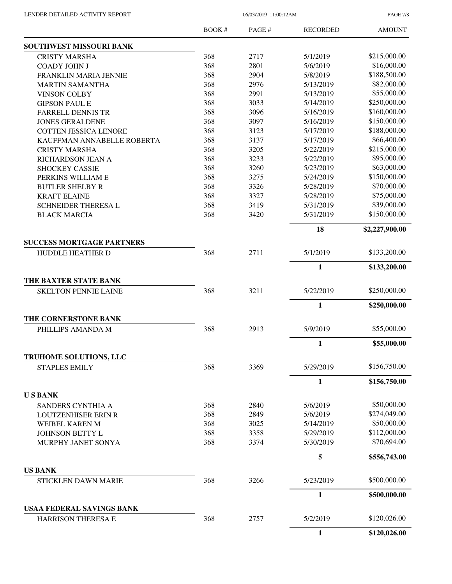PAGE 7/8

|                                                        | BOOK# | PAGE# | <b>RECORDED</b> | <b>AMOUNT</b>  |
|--------------------------------------------------------|-------|-------|-----------------|----------------|
| SOUTHWEST MISSOURI BANK                                |       |       |                 |                |
| <b>CRISTY MARSHA</b>                                   | 368   | 2717  | 5/1/2019        | \$215,000.00   |
| <b>COADY JOHN J</b>                                    | 368   | 2801  | 5/6/2019        | \$16,000.00    |
| FRANKLIN MARIA JENNIE                                  | 368   | 2904  | 5/8/2019        | \$188,500.00   |
| <b>MARTIN SAMANTHA</b>                                 | 368   | 2976  | 5/13/2019       | \$82,000.00    |
| <b>VINSON COLBY</b>                                    | 368   | 2991  | 5/13/2019       | \$55,000.00    |
| <b>GIPSON PAUL E</b>                                   | 368   | 3033  | 5/14/2019       | \$250,000.00   |
| <b>FARRELL DENNIS TR</b>                               | 368   | 3096  | 5/16/2019       | \$160,000.00   |
| <b>JONES GERALDENE</b>                                 | 368   | 3097  | 5/16/2019       | \$150,000.00   |
| <b>COTTEN JESSICA LENORE</b>                           | 368   | 3123  | 5/17/2019       | \$188,000.00   |
| KAUFFMAN ANNABELLE ROBERTA                             | 368   | 3137  | 5/17/2019       | \$66,400.00    |
| <b>CRISTY MARSHA</b>                                   | 368   | 3205  | 5/22/2019       | \$215,000.00   |
| RICHARDSON JEAN A                                      | 368   | 3233  | 5/22/2019       | \$95,000.00    |
| <b>SHOCKEY CASSIE</b>                                  | 368   | 3260  | 5/23/2019       | \$63,000.00    |
| PERKINS WILLIAM E                                      | 368   | 3275  | 5/24/2019       | \$150,000.00   |
| <b>BUTLER SHELBY R</b>                                 | 368   | 3326  | 5/28/2019       | \$70,000.00    |
| <b>KRAFT ELAINE</b>                                    | 368   | 3327  | 5/28/2019       | \$75,000.00    |
| <b>SCHNEIDER THERESAL</b>                              | 368   | 3419  | 5/31/2019       | \$39,000.00    |
| <b>BLACK MARCIA</b>                                    | 368   | 3420  | 5/31/2019       | \$150,000.00   |
|                                                        |       |       | 18              | \$2,227,900.00 |
| <b>SUCCESS MORTGAGE PARTNERS</b>                       |       |       |                 |                |
| <b>HUDDLE HEATHER D</b>                                | 368   | 2711  | 5/1/2019        | \$133,200.00   |
|                                                        |       |       | $\mathbf{1}$    | \$133,200.00   |
| THE BAXTER STATE BANK                                  |       |       |                 |                |
| <b>SKELTON PENNIE LAINE</b>                            | 368   | 3211  | 5/22/2019       | \$250,000.00   |
|                                                        |       |       | $\mathbf{1}$    | \$250,000.00   |
| THE CORNERSTONE BANK                                   |       |       |                 |                |
| PHILLIPS AMANDA M                                      | 368   | 2913  | 5/9/2019        | \$55,000.00    |
|                                                        |       |       | $\mathbf{1}$    | \$55,000.00    |
| TRUHOME SOLUTIONS, LLC<br><b>STAPLES EMILY</b>         | 368   | 3369  | 5/29/2019       | \$156,750.00   |
|                                                        |       |       | 1               | \$156,750.00   |
| <b>USBANK</b>                                          |       |       |                 |                |
| SANDERS CYNTHIA A                                      | 368   | 2840  | 5/6/2019        | \$50,000.00    |
| <b>LOUTZENHISER ERIN R</b>                             | 368   | 2849  | 5/6/2019        | \$274,049.00   |
|                                                        | 368   | 3025  | 5/14/2019       | \$50,000.00    |
| WEIBEL KAREN M                                         | 368   | 3358  | 5/29/2019       | \$112,000.00   |
| JOHNSON BETTY L                                        |       |       |                 | \$70,694.00    |
| MURPHY JANET SONYA                                     | 368   | 3374  | 5/30/2019       |                |
|                                                        |       |       | 5               | \$556,743.00   |
| <b>US BANK</b>                                         |       |       |                 |                |
| <b>STICKLEN DAWN MARIE</b>                             | 368   | 3266  | 5/23/2019       | \$500,000.00   |
|                                                        |       |       | $\mathbf{1}$    | \$500,000.00   |
| <b>USAA FEDERAL SAVINGS BANK</b><br>HARRISON THERESA E | 368   | 2757  | 5/2/2019        | \$120,026.00   |
|                                                        |       |       | $\mathbf{1}$    | \$120,026.00   |
|                                                        |       |       |                 |                |